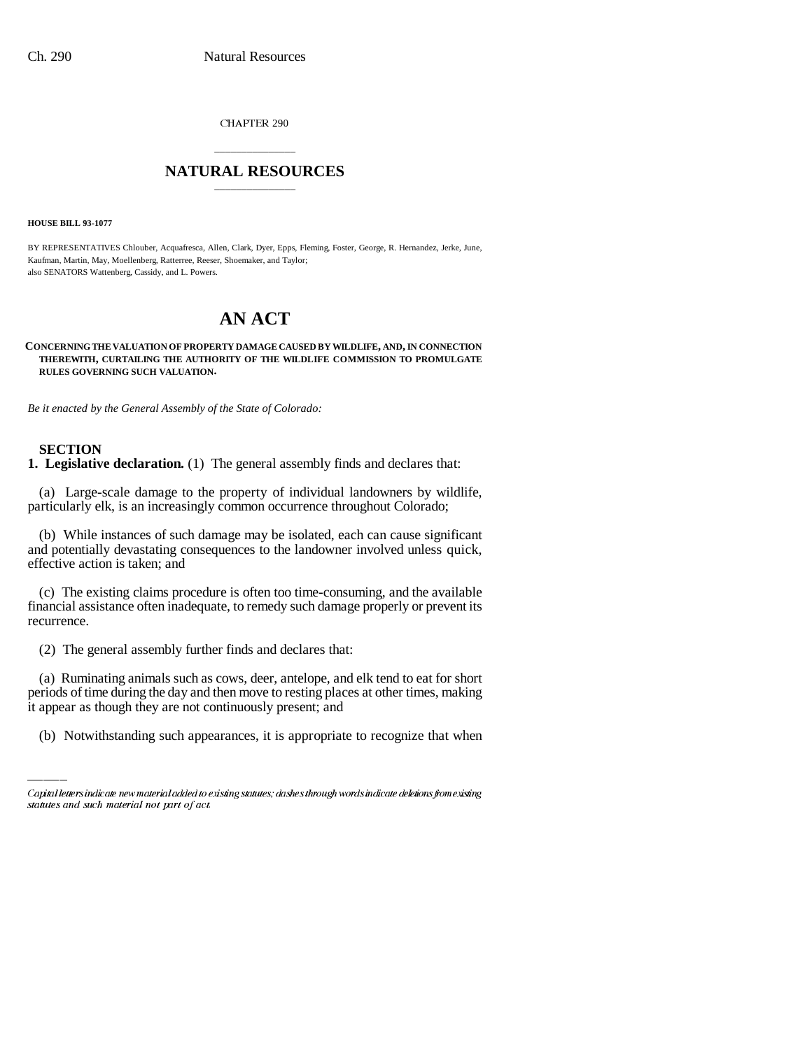CHAPTER 290

## \_\_\_\_\_\_\_\_\_\_\_\_\_\_\_ **NATURAL RESOURCES** \_\_\_\_\_\_\_\_\_\_\_\_\_\_\_

**HOUSE BILL 93-1077**

BY REPRESENTATIVES Chlouber, Acquafresca, Allen, Clark, Dyer, Epps, Fleming, Foster, George, R. Hernandez, Jerke, June, Kaufman, Martin, May, Moellenberg, Ratterree, Reeser, Shoemaker, and Taylor; also SENATORS Wattenberg, Cassidy, and L. Powers.

# **AN ACT**

**CONCERNING THE VALUATION OF PROPERTY DAMAGE CAUSED BY WILDLIFE, AND, IN CONNECTION THEREWITH, CURTAILING THE AUTHORITY OF THE WILDLIFE COMMISSION TO PROMULGATE RULES GOVERNING SUCH VALUATION.**

*Be it enacted by the General Assembly of the State of Colorado:*

#### **SECTION**

**1. Legislative declaration.** (1) The general assembly finds and declares that:

(a) Large-scale damage to the property of individual landowners by wildlife, particularly elk, is an increasingly common occurrence throughout Colorado;

(b) While instances of such damage may be isolated, each can cause significant and potentially devastating consequences to the landowner involved unless quick, effective action is taken; and

(c) The existing claims procedure is often too time-consuming, and the available financial assistance often inadequate, to remedy such damage properly or prevent its recurrence.

(2) The general assembly further finds and declares that:

(a) Ruminating animals such as cows, deer, antelope, and elk tend to eat for short periods of time during the day and then move to resting places at other times, making it appear as though they are not continuously present; and

(b) Notwithstanding such appearances, it is appropriate to recognize that when

Capital letters indicate new material added to existing statutes; dashes through words indicate deletions from existing statutes and such material not part of act.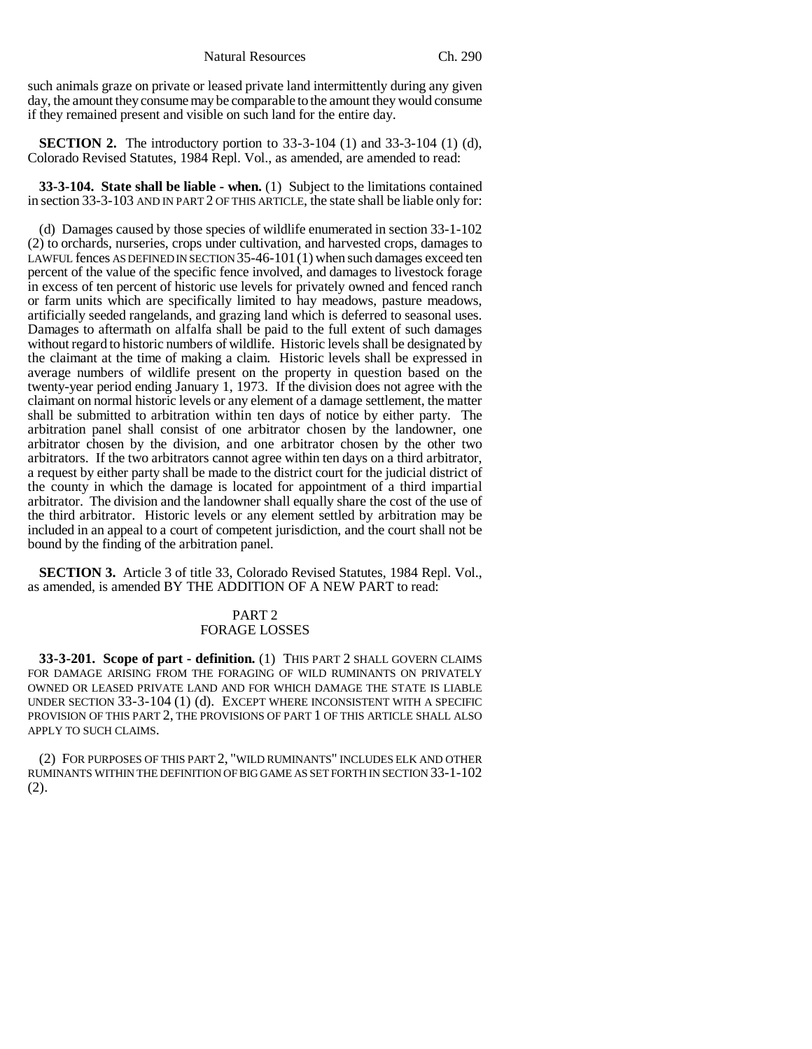such animals graze on private or leased private land intermittently during any given day, the amount they consume may be comparable to the amount they would consume if they remained present and visible on such land for the entire day.

**SECTION 2.** The introductory portion to 33-3-104 (1) and 33-3-104 (1) (d), Colorado Revised Statutes, 1984 Repl. Vol., as amended, are amended to read:

**33-3-104. State shall be liable - when.** (1) Subject to the limitations contained in section 33-3-103 AND IN PART 2 OF THIS ARTICLE, the state shall be liable only for:

(d) Damages caused by those species of wildlife enumerated in section 33-1-102 (2) to orchards, nurseries, crops under cultivation, and harvested crops, damages to LAWFUL fences AS DEFINED IN SECTION 35-46-101(1) when such damages exceed ten percent of the value of the specific fence involved, and damages to livestock forage in excess of ten percent of historic use levels for privately owned and fenced ranch or farm units which are specifically limited to hay meadows, pasture meadows, artificially seeded rangelands, and grazing land which is deferred to seasonal uses. Damages to aftermath on alfalfa shall be paid to the full extent of such damages without regard to historic numbers of wildlife. Historic levels shall be designated by the claimant at the time of making a claim. Historic levels shall be expressed in average numbers of wildlife present on the property in question based on the twenty-year period ending January 1, 1973. If the division does not agree with the claimant on normal historic levels or any element of a damage settlement, the matter shall be submitted to arbitration within ten days of notice by either party. The arbitration panel shall consist of one arbitrator chosen by the landowner, one arbitrator chosen by the division, and one arbitrator chosen by the other two arbitrators. If the two arbitrators cannot agree within ten days on a third arbitrator, a request by either party shall be made to the district court for the judicial district of the county in which the damage is located for appointment of a third impartial arbitrator. The division and the landowner shall equally share the cost of the use of the third arbitrator. Historic levels or any element settled by arbitration may be included in an appeal to a court of competent jurisdiction, and the court shall not be bound by the finding of the arbitration panel.

**SECTION 3.** Article 3 of title 33, Colorado Revised Statutes, 1984 Repl. Vol., as amended, is amended BY THE ADDITION OF A NEW PART to read:

### PART 2 FORAGE LOSSES

**33-3-201. Scope of part - definition.** (1) THIS PART 2 SHALL GOVERN CLAIMS FOR DAMAGE ARISING FROM THE FORAGING OF WILD RUMINANTS ON PRIVATELY OWNED OR LEASED PRIVATE LAND AND FOR WHICH DAMAGE THE STATE IS LIABLE UNDER SECTION 33-3-104 (1) (d). EXCEPT WHERE INCONSISTENT WITH A SPECIFIC PROVISION OF THIS PART 2, THE PROVISIONS OF PART 1 OF THIS ARTICLE SHALL ALSO APPLY TO SUCH CLAIMS.

(2) FOR PURPOSES OF THIS PART 2, "WILD RUMINANTS" INCLUDES ELK AND OTHER RUMINANTS WITHIN THE DEFINITION OF BIG GAME AS SET FORTH IN SECTION 33-1-102 (2).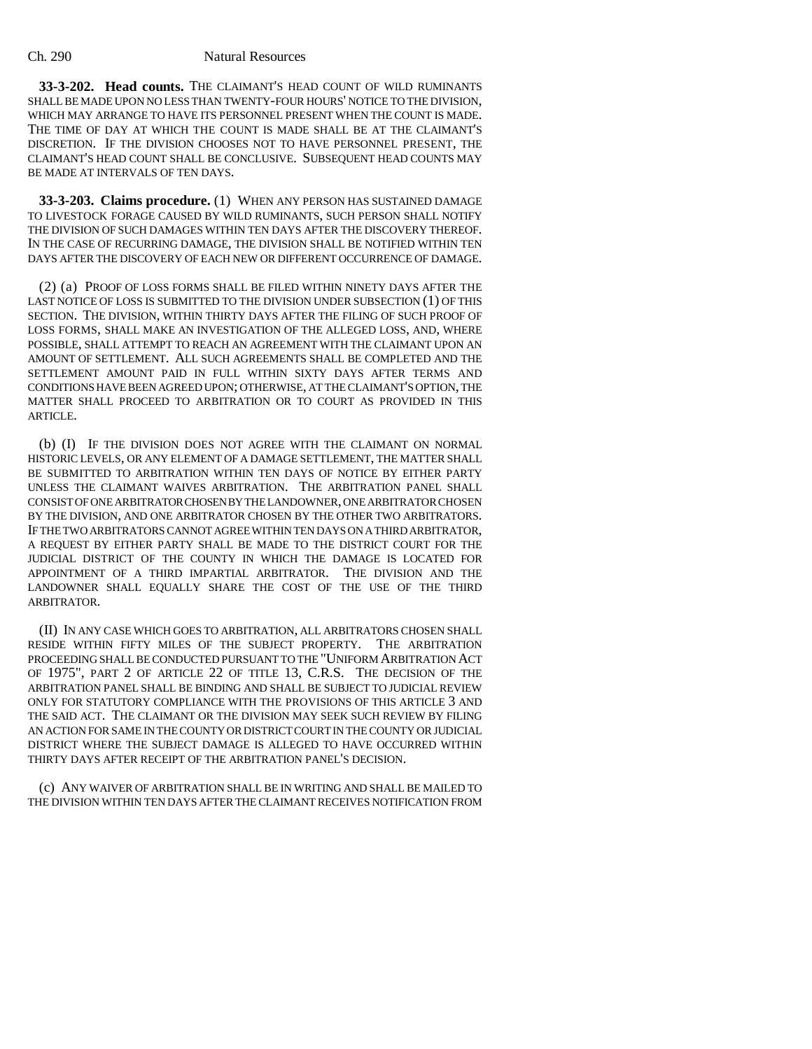#### Ch. 290 Natural Resources

**33-3-202. Head counts.** THE CLAIMANT'S HEAD COUNT OF WILD RUMINANTS SHALL BE MADE UPON NO LESS THAN TWENTY-FOUR HOURS' NOTICE TO THE DIVISION, WHICH MAY ARRANGE TO HAVE ITS PERSONNEL PRESENT WHEN THE COUNT IS MADE. THE TIME OF DAY AT WHICH THE COUNT IS MADE SHALL BE AT THE CLAIMANT'S DISCRETION. IF THE DIVISION CHOOSES NOT TO HAVE PERSONNEL PRESENT, THE CLAIMANT'S HEAD COUNT SHALL BE CONCLUSIVE. SUBSEQUENT HEAD COUNTS MAY BE MADE AT INTERVALS OF TEN DAYS.

**33-3-203. Claims procedure.** (1) WHEN ANY PERSON HAS SUSTAINED DAMAGE TO LIVESTOCK FORAGE CAUSED BY WILD RUMINANTS, SUCH PERSON SHALL NOTIFY THE DIVISION OF SUCH DAMAGES WITHIN TEN DAYS AFTER THE DISCOVERY THEREOF. IN THE CASE OF RECURRING DAMAGE, THE DIVISION SHALL BE NOTIFIED WITHIN TEN DAYS AFTER THE DISCOVERY OF EACH NEW OR DIFFERENT OCCURRENCE OF DAMAGE.

(2) (a) PROOF OF LOSS FORMS SHALL BE FILED WITHIN NINETY DAYS AFTER THE LAST NOTICE OF LOSS IS SUBMITTED TO THE DIVISION UNDER SUBSECTION (1) OF THIS SECTION. THE DIVISION, WITHIN THIRTY DAYS AFTER THE FILING OF SUCH PROOF OF LOSS FORMS, SHALL MAKE AN INVESTIGATION OF THE ALLEGED LOSS, AND, WHERE POSSIBLE, SHALL ATTEMPT TO REACH AN AGREEMENT WITH THE CLAIMANT UPON AN AMOUNT OF SETTLEMENT. ALL SUCH AGREEMENTS SHALL BE COMPLETED AND THE SETTLEMENT AMOUNT PAID IN FULL WITHIN SIXTY DAYS AFTER TERMS AND CONDITIONS HAVE BEEN AGREED UPON; OTHERWISE, AT THE CLAIMANT'S OPTION, THE MATTER SHALL PROCEED TO ARBITRATION OR TO COURT AS PROVIDED IN THIS ARTICLE.

(b) (I) IF THE DIVISION DOES NOT AGREE WITH THE CLAIMANT ON NORMAL HISTORIC LEVELS, OR ANY ELEMENT OF A DAMAGE SETTLEMENT, THE MATTER SHALL BE SUBMITTED TO ARBITRATION WITHIN TEN DAYS OF NOTICE BY EITHER PARTY UNLESS THE CLAIMANT WAIVES ARBITRATION. THE ARBITRATION PANEL SHALL CONSIST OF ONE ARBITRATOR CHOSEN BY THE LANDOWNER, ONE ARBITRATOR CHOSEN BY THE DIVISION, AND ONE ARBITRATOR CHOSEN BY THE OTHER TWO ARBITRATORS. IF THE TWO ARBITRATORS CANNOT AGREE WITHIN TEN DAYS ON A THIRD ARBITRATOR, A REQUEST BY EITHER PARTY SHALL BE MADE TO THE DISTRICT COURT FOR THE JUDICIAL DISTRICT OF THE COUNTY IN WHICH THE DAMAGE IS LOCATED FOR APPOINTMENT OF A THIRD IMPARTIAL ARBITRATOR. THE DIVISION AND THE LANDOWNER SHALL EQUALLY SHARE THE COST OF THE USE OF THE THIRD ARBITRATOR.

(II) IN ANY CASE WHICH GOES TO ARBITRATION, ALL ARBITRATORS CHOSEN SHALL RESIDE WITHIN FIFTY MILES OF THE SUBJECT PROPERTY. THE ARBITRATION PROCEEDING SHALL BE CONDUCTED PURSUANT TO THE "UNIFORM ARBITRATION ACT OF 1975", PART 2 OF ARTICLE 22 OF TITLE 13, C.R.S. THE DECISION OF THE ARBITRATION PANEL SHALL BE BINDING AND SHALL BE SUBJECT TO JUDICIAL REVIEW ONLY FOR STATUTORY COMPLIANCE WITH THE PROVISIONS OF THIS ARTICLE 3 AND THE SAID ACT. THE CLAIMANT OR THE DIVISION MAY SEEK SUCH REVIEW BY FILING AN ACTION FOR SAME IN THE COUNTY OR DISTRICT COURT IN THE COUNTY OR JUDICIAL DISTRICT WHERE THE SUBJECT DAMAGE IS ALLEGED TO HAVE OCCURRED WITHIN THIRTY DAYS AFTER RECEIPT OF THE ARBITRATION PANEL'S DECISION.

(c) ANY WAIVER OF ARBITRATION SHALL BE IN WRITING AND SHALL BE MAILED TO THE DIVISION WITHIN TEN DAYS AFTER THE CLAIMANT RECEIVES NOTIFICATION FROM